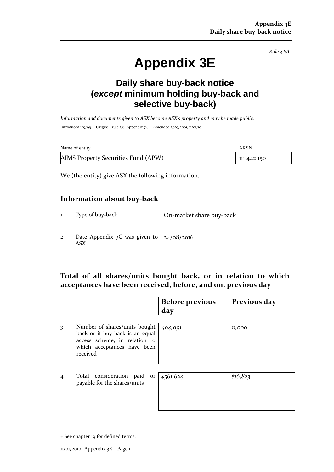*Rule 3.8A*

# **Appendix 3E**

# **Daily share buy-back notice (***except* **minimum holding buy-back and selective buy-back)**

*Information and documents given to ASX become ASX's property and may be made public.* Introduced 1/9/99. Origin: rule 3.6, Appendix 7C. Amended 30/9/2001, 11/01/10

| Name of entity                      | ARSN        |
|-------------------------------------|-------------|
| AIMS Property Securities Fund (APW) | 111 442 150 |

We (the entity) give ASX the following information.

#### **Information about buy-back**

1 Type of buy-back On-market share buy-back

2 Date Appendix 3C was given to ASX

24/08/2016

## **Total of all shares/units bought back, or in relation to which acceptances have been received, before, and on, previous day**

|                |                                                                                                                                              | <b>Before previous</b><br>day | Previous day |
|----------------|----------------------------------------------------------------------------------------------------------------------------------------------|-------------------------------|--------------|
| 3              | Number of shares/units bought<br>back or if buy-back is an equal<br>access scheme, in relation to<br>which acceptances have been<br>received | 404,091                       | 11,000       |
| $\overline{4}$ | Total consideration paid or<br>payable for the shares/units                                                                                  | \$561,624                     | \$16,823     |

<sup>+</sup> See chapter 19 for defined terms.